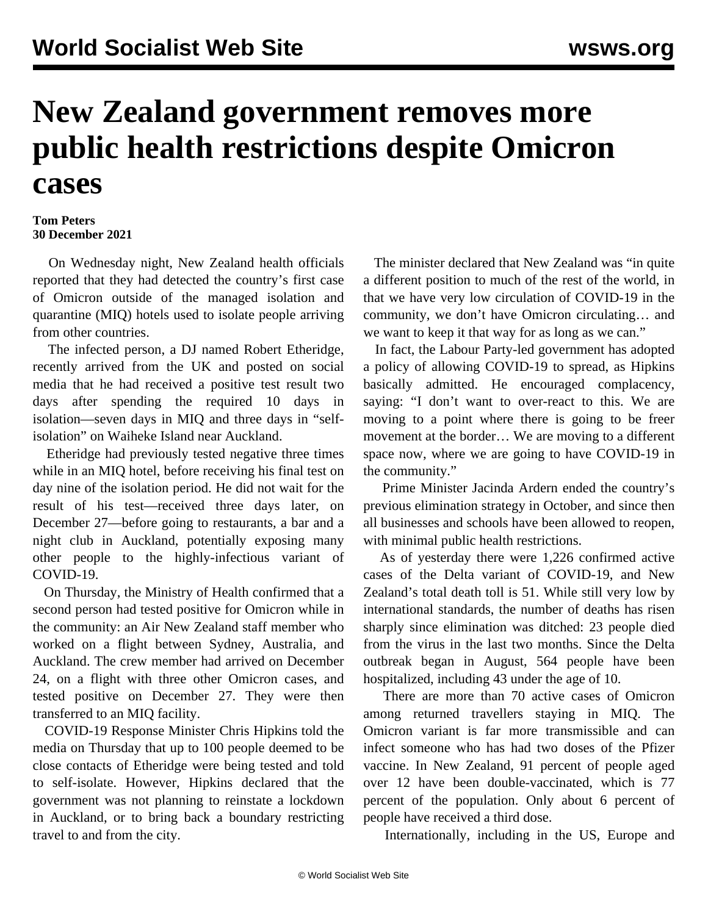## **New Zealand government removes more public health restrictions despite Omicron cases**

## **Tom Peters 30 December 2021**

 On Wednesday night, New Zealand health officials reported that they had detected the country's first case of Omicron outside of the managed isolation and quarantine (MIQ) hotels used to isolate people arriving from other countries.

 The infected person, a DJ named Robert Etheridge, recently arrived from the UK and posted on social media that he had received a positive test result two days after spending the required 10 days in isolation—seven days in MIQ and three days in "selfisolation" on Waiheke Island near Auckland.

 Etheridge had previously tested negative three times while in an MIQ hotel, before receiving his final test on day nine of the isolation period. He did not wait for the result of his test—received three days later, on December 27—before going to restaurants, a bar and a night club in Auckland, potentially exposing many other people to the highly-infectious variant of COVID-19.

 On Thursday, the Ministry of Health confirmed that a second person had tested positive for Omicron while in the community: an Air New Zealand staff member who worked on a flight between Sydney, Australia, and Auckland. The crew member had arrived on December 24, on a flight with three other Omicron cases, and tested positive on December 27. They were then transferred to an MIQ facility.

 COVID-19 Response Minister Chris Hipkins told the media on Thursday that up to 100 people deemed to be close contacts of Etheridge were being tested and told to self-isolate. However, Hipkins declared that the government was not planning to reinstate a lockdown in Auckland, or to bring back a boundary restricting travel to and from the city.

 The minister declared that New Zealand was "in quite a different position to much of the rest of the world, in that we have very low circulation of COVID-19 in the community, we don't have Omicron circulating… and we want to keep it that way for as long as we can."

 In fact, the Labour Party-led government has adopted a policy of allowing COVID-19 to spread, as Hipkins basically admitted. He encouraged complacency, saying: "I don't want to over-react to this. We are moving to a point where there is going to be freer movement at the border… We are moving to a different space now, where we are going to have COVID-19 in the community."

 Prime Minister Jacinda Ardern ended the country's previous [elimination](/en/articles/2021/10/08/segn-o08.html) strategy in October, and since then all businesses and schools have been allowed to reopen, with minimal public health restrictions.

 As of yesterday there were 1,226 confirmed active cases of the Delta variant of COVID-19, and New Zealand's total death toll is 51. While still very low by international standards, the number of deaths has risen sharply since elimination was ditched: 23 people died from the virus in the last two months. Since the Delta outbreak began in August, 564 people have been hospitalized, including 43 under the age of 10.

 There are more than 70 active cases of Omicron among returned travellers staying in MIQ. The Omicron variant is far more transmissible and can infect someone who has had two doses of the Pfizer vaccine. In New Zealand, 91 percent of people aged over 12 have been double-vaccinated, which is 77 percent of the population. Only about 6 percent of people have received a third dose.

Internationally, including in the US, Europe and